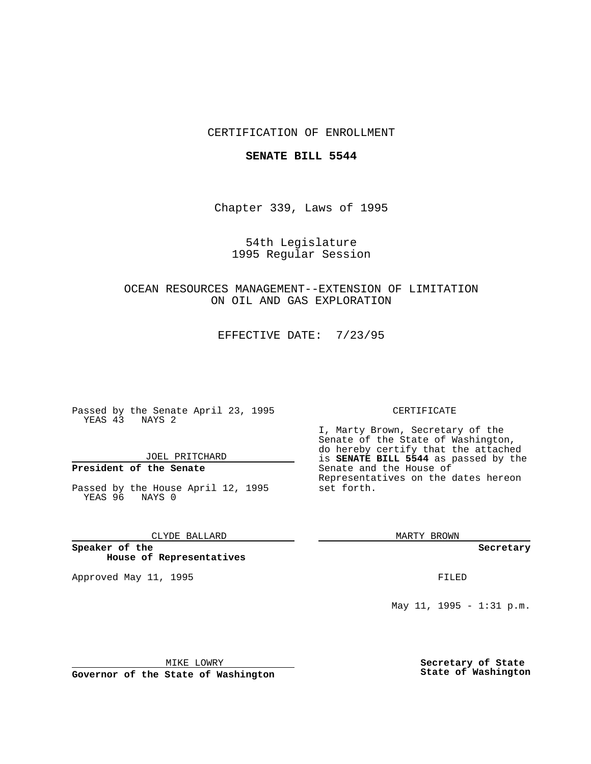## CERTIFICATION OF ENROLLMENT

### **SENATE BILL 5544**

Chapter 339, Laws of 1995

54th Legislature 1995 Regular Session

OCEAN RESOURCES MANAGEMENT--EXTENSION OF LIMITATION ON OIL AND GAS EXPLORATION

EFFECTIVE DATE: 7/23/95

Passed by the Senate April 23, 1995 YEAS 43 NAYS 2

JOEL PRITCHARD

# **President of the Senate**

Passed by the House April 12, 1995 YEAS 96 NAYS 0

CLYDE BALLARD

**Speaker of the House of Representatives**

Approved May 11, 1995 **FILED** 

#### CERTIFICATE

I, Marty Brown, Secretary of the Senate of the State of Washington, do hereby certify that the attached is **SENATE BILL 5544** as passed by the Senate and the House of Representatives on the dates hereon set forth.

MARTY BROWN

**Secretary**

May 11, 1995 - 1:31 p.m.

MIKE LOWRY

**Governor of the State of Washington**

**Secretary of State State of Washington**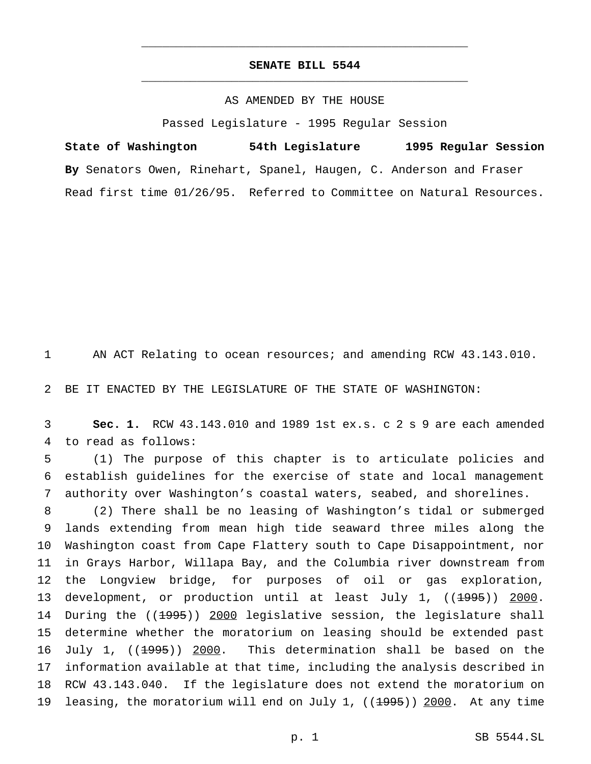## **SENATE BILL 5544** \_\_\_\_\_\_\_\_\_\_\_\_\_\_\_\_\_\_\_\_\_\_\_\_\_\_\_\_\_\_\_\_\_\_\_\_\_\_\_\_\_\_\_\_\_\_\_

\_\_\_\_\_\_\_\_\_\_\_\_\_\_\_\_\_\_\_\_\_\_\_\_\_\_\_\_\_\_\_\_\_\_\_\_\_\_\_\_\_\_\_\_\_\_\_

### AS AMENDED BY THE HOUSE

Passed Legislature - 1995 Regular Session

**State of Washington 54th Legislature 1995 Regular Session By** Senators Owen, Rinehart, Spanel, Haugen, C. Anderson and Fraser Read first time 01/26/95. Referred to Committee on Natural Resources.

1 AN ACT Relating to ocean resources; and amending RCW 43.143.010.

2 BE IT ENACTED BY THE LEGISLATURE OF THE STATE OF WASHINGTON:

3 **Sec. 1.** RCW 43.143.010 and 1989 1st ex.s. c 2 s 9 are each amended 4 to read as follows:

5 (1) The purpose of this chapter is to articulate policies and 6 establish guidelines for the exercise of state and local management 7 authority over Washington's coastal waters, seabed, and shorelines.

 (2) There shall be no leasing of Washington's tidal or submerged lands extending from mean high tide seaward three miles along the Washington coast from Cape Flattery south to Cape Disappointment, nor in Grays Harbor, Willapa Bay, and the Columbia river downstream from the Longview bridge, for purposes of oil or gas exploration, 13 development, or production until at least July 1, ((1995)) 2000. 14 During the ((1995)) 2000 legislative session, the legislature shall determine whether the moratorium on leasing should be extended past 16 July 1, ((1995)) 2000. This determination shall be based on the information available at that time, including the analysis described in RCW 43.143.040. If the legislature does not extend the moratorium on 19 leasing, the moratorium will end on July 1, ((1995)) 2000. At any time